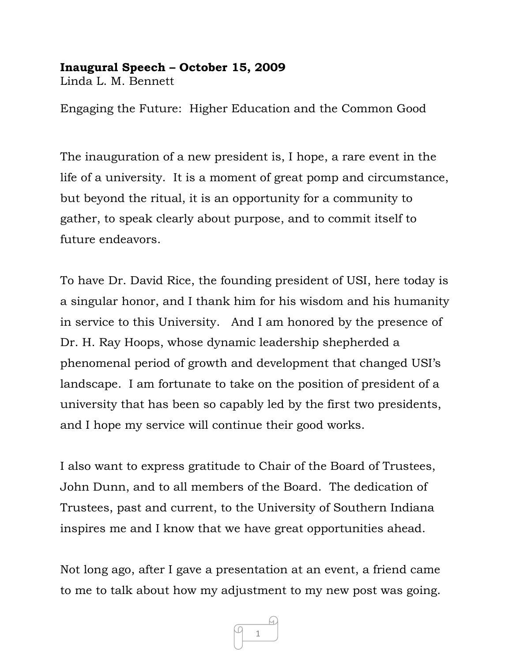## **Inaugural Speech – October 15, 2009**

Linda L. M. Bennett

Engaging the Future: Higher Education and the Common Good

The inauguration of a new president is, I hope, a rare event in the life of a university. It is a moment of great pomp and circumstance, but beyond the ritual, it is an opportunity for a community to gather, to speak clearly about purpose, and to commit itself to future endeavors.

To have Dr. David Rice, the founding president of USI, here today is a singular honor, and I thank him for his wisdom and his humanity in service to this University. And I am honored by the presence of Dr. H. Ray Hoops, whose dynamic leadership shepherded a phenomenal period of growth and development that changed USI's landscape. I am fortunate to take on the position of president of a university that has been so capably led by the first two presidents, and I hope my service will continue their good works.

I also want to express gratitude to Chair of the Board of Trustees, John Dunn, and to all members of the Board. The dedication of Trustees, past and current, to the University of Southern Indiana inspires me and I know that we have great opportunities ahead.

Not long ago, after I gave a presentation at an event, a friend came to me to talk about how my adjustment to my new post was going.

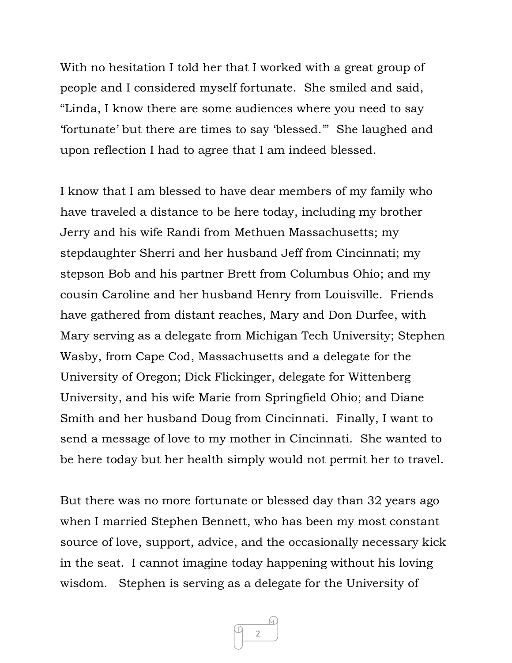With no hesitation I told her that I worked with a great group of people and I considered myself fortunate. She smiled and said, "Linda, I know there are some audiences where you need to say 'fortunate' but there are times to say 'blessed.'" She laughed and upon reflection I had to agree that I am indeed blessed.

I know that I am blessed to have dear members of my family who have traveled a distance to be here today, including my brother Jerry and his wife Randi from Methuen Massachusetts; my stepdaughter Sherri and her husband Jeff from Cincinnati; my stepson Bob and his partner Brett from Columbus Ohio; and my cousin Caroline and her husband Henry from Louisville. Friends have gathered from distant reaches, Mary and Don Durfee, with Mary serving as a delegate from Michigan Tech University; Stephen Wasby, from Cape Cod, Massachusetts and a delegate for the University of Oregon; Dick Flickinger, delegate for Wittenberg University, and his wife Marie from Springfield Ohio; and Diane Smith and her husband Doug from Cincinnati. Finally, I want to send a message of love to my mother in Cincinnati. She wanted to be here today but her health simply would not permit her to travel.

But there was no more fortunate or blessed day than 32 years ago when I married Stephen Bennett, who has been my most constant source of love, support, advice, and the occasionally necessary kick in the seat. I cannot imagine today happening without his loving wisdom. Stephen is serving as a delegate for the University of

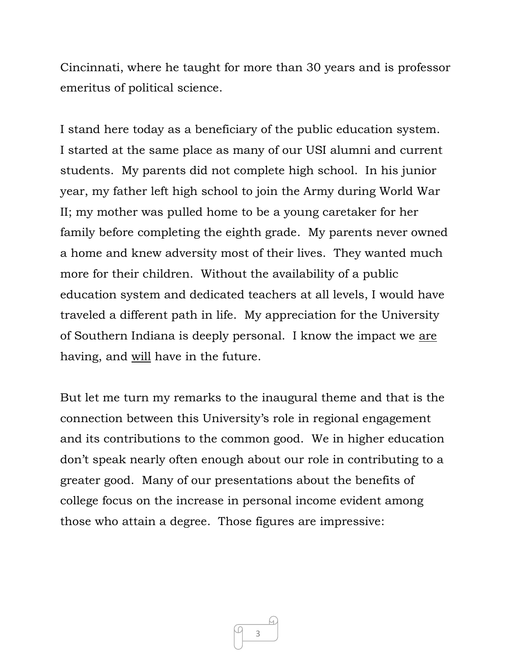Cincinnati, where he taught for more than 30 years and is professor emeritus of political science.

I stand here today as a beneficiary of the public education system. I started at the same place as many of our USI alumni and current students. My parents did not complete high school. In his junior year, my father left high school to join the Army during World War II; my mother was pulled home to be a young caretaker for her family before completing the eighth grade. My parents never owned a home and knew adversity most of their lives. They wanted much more for their children. Without the availability of a public education system and dedicated teachers at all levels, I would have traveled a different path in life. My appreciation for the University of Southern Indiana is deeply personal. I know the impact we are having, and will have in the future.

But let me turn my remarks to the inaugural theme and that is the connection between this University's role in regional engagement and its contributions to the common good. We in higher education don't speak nearly often enough about our role in contributing to a greater good. Many of our presentations about the benefits of college focus on the increase in personal income evident among those who attain a degree. Those figures are impressive:

3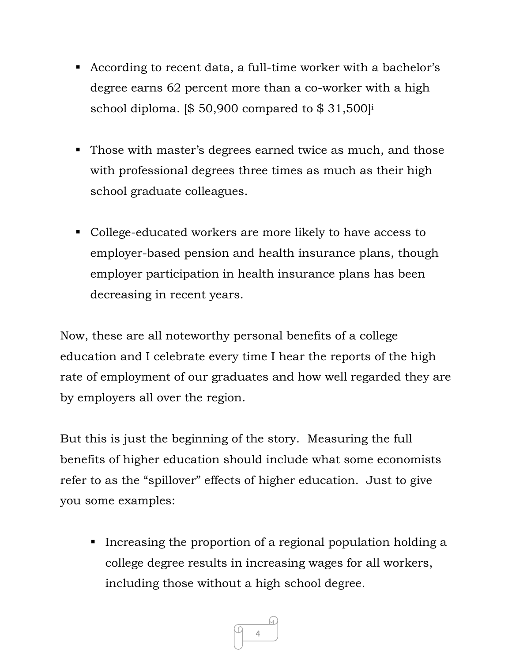- According to recent data, a full-time worker with a bachelor's degree earns 62 percent more than a co-worker with a high school diploma.  $\lvert \$ 50,900$  compared to  $\$ 31,500\lvert^{\text{i}}$
- Those with master's degrees earned twice as much, and those with professional degrees three times as much as their high school graduate colleagues.
- College-educated workers are more likely to have access to employer-based pension and health insurance plans, though employer participation in health insurance plans has been decreasing in recent years.

Now, these are all noteworthy personal benefits of a college education and I celebrate every time I hear the reports of the high rate of employment of our graduates and how well regarded they are by employers all over the region.

But this is just the beginning of the story. Measuring the full benefits of higher education should include what some economists refer to as the "spillover" effects of higher education. Just to give you some examples:

Increasing the proportion of a regional population holding a college degree results in increasing wages for all workers, including those without a high school degree.

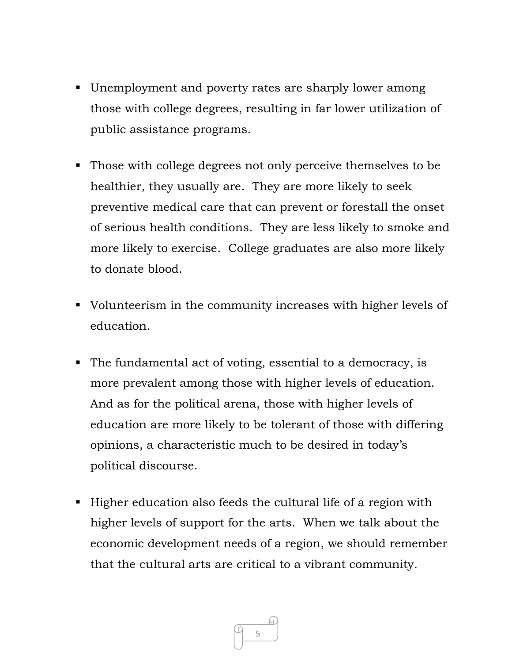- Unemployment and poverty rates are sharply lower among those with college degrees, resulting in far lower utilization of public assistance programs.
- Those with college degrees not only perceive themselves to be healthier, they usually are. They are more likely to seek preventive medical care that can prevent or forestall the onset of serious health conditions. They are less likely to smoke and more likely to exercise. College graduates are also more likely to donate blood.
- Volunteerism in the community increases with higher levels of education.
- The fundamental act of voting, essential to a democracy, is more prevalent among those with higher levels of education. And as for the political arena, those with higher levels of education are more likely to be tolerant of those with differing opinions, a characteristic much to be desired in today's political discourse.
- Higher education also feeds the cultural life of a region with higher levels of support for the arts. When we talk about the economic development needs of a region, we should remember that the cultural arts are critical to a vibrant community.

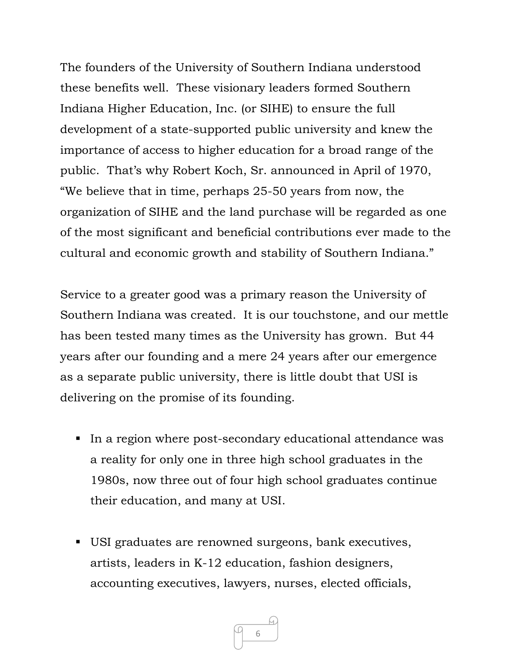The founders of the University of Southern Indiana understood these benefits well. These visionary leaders formed Southern Indiana Higher Education, Inc. (or SIHE) to ensure the full development of a state-supported public university and knew the importance of access to higher education for a broad range of the public. That's why Robert Koch, Sr. announced in April of 1970, "We believe that in time, perhaps 25-50 years from now, the organization of SIHE and the land purchase will be regarded as one of the most significant and beneficial contributions ever made to the cultural and economic growth and stability of Southern Indiana."

Service to a greater good was a primary reason the University of Southern Indiana was created. It is our touchstone, and our mettle has been tested many times as the University has grown. But 44 years after our founding and a mere 24 years after our emergence as a separate public university, there is little doubt that USI is delivering on the promise of its founding.

- In a region where post-secondary educational attendance was a reality for only one in three high school graduates in the 1980s, now three out of four high school graduates continue their education, and many at USI.
- USI graduates are renowned surgeons, bank executives, artists, leaders in K-12 education, fashion designers, accounting executives, lawyers, nurses, elected officials,

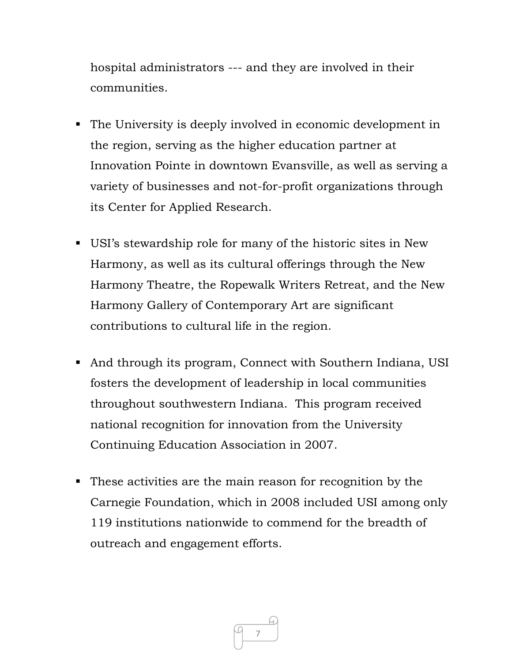hospital administrators --- and they are involved in their communities.

- The University is deeply involved in economic development in the region, serving as the higher education partner at Innovation Pointe in downtown Evansville, as well as serving a variety of businesses and not-for-profit organizations through its Center for Applied Research.
- USI's stewardship role for many of the historic sites in New Harmony, as well as its cultural offerings through the New Harmony Theatre, the Ropewalk Writers Retreat, and the New Harmony Gallery of Contemporary Art are significant contributions to cultural life in the region.
- And through its program, Connect with Southern Indiana, USI fosters the development of leadership in local communities throughout southwestern Indiana. This program received national recognition for innovation from the University Continuing Education Association in 2007.
- These activities are the main reason for recognition by the Carnegie Foundation, which in 2008 included USI among only 119 institutions nationwide to commend for the breadth of outreach and engagement efforts.

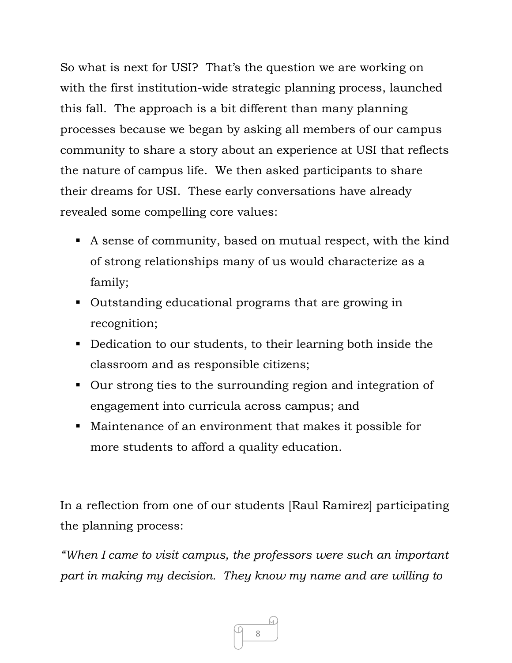So what is next for USI? That's the question we are working on with the first institution-wide strategic planning process, launched this fall. The approach is a bit different than many planning processes because we began by asking all members of our campus community to share a story about an experience at USI that reflects the nature of campus life. We then asked participants to share their dreams for USI. These early conversations have already revealed some compelling core values:

- A sense of community, based on mutual respect, with the kind of strong relationships many of us would characterize as a family;
- Outstanding educational programs that are growing in recognition;
- Dedication to our students, to their learning both inside the classroom and as responsible citizens;
- Our strong ties to the surrounding region and integration of engagement into curricula across campus; and
- Maintenance of an environment that makes it possible for more students to afford a quality education.

In a reflection from one of our students [Raul Ramirez] participating the planning process:

*"When I came to visit campus, the professors were such an important part in making my decision. They know my name and are willing to* 

8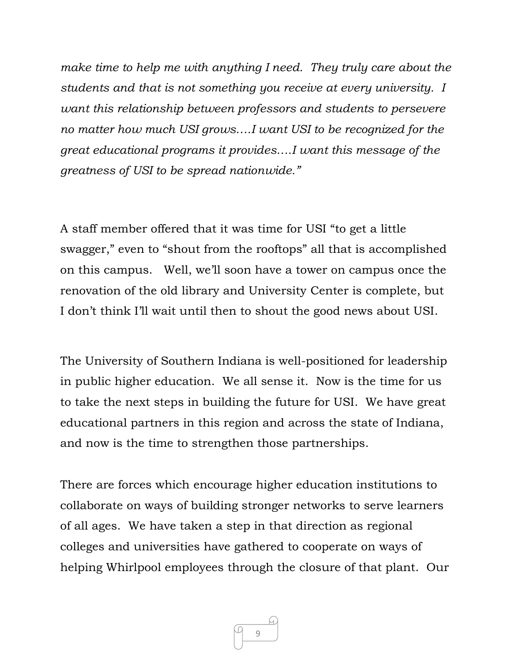*make time to help me with anything I need. They truly care about the students and that is not something you receive at every university. I want this relationship between professors and students to persevere no matter how much USI grows….I want USI to be recognized for the great educational programs it provides….I want this message of the greatness of USI to be spread nationwide."* 

A staff member offered that it was time for USI "to get a little swagger," even to "shout from the rooftops" all that is accomplished on this campus. Well, we'll soon have a tower on campus once the renovation of the old library and University Center is complete, but I don't think I'll wait until then to shout the good news about USI.

The University of Southern Indiana is well-positioned for leadership in public higher education. We all sense it. Now is the time for us to take the next steps in building the future for USI. We have great educational partners in this region and across the state of Indiana, and now is the time to strengthen those partnerships.

There are forces which encourage higher education institutions to collaborate on ways of building stronger networks to serve learners of all ages. We have taken a step in that direction as regional colleges and universities have gathered to cooperate on ways of helping Whirlpool employees through the closure of that plant. Our